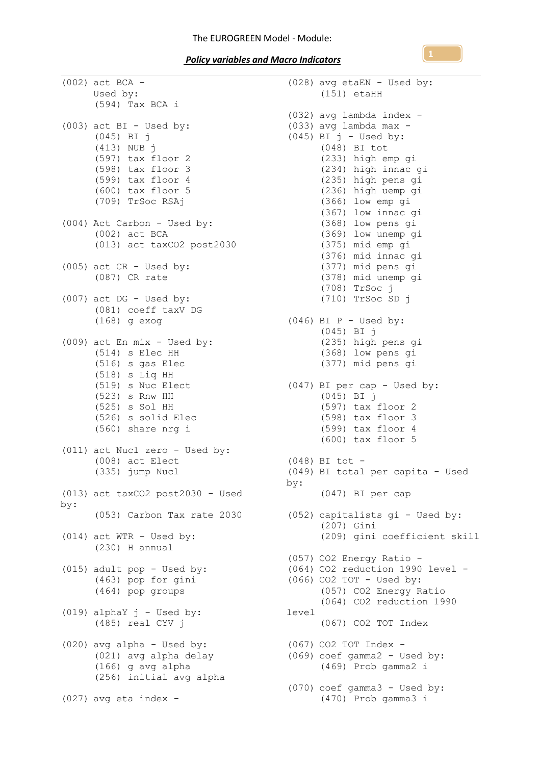*Policy variables and Macro Indicators* 

(002) act BCA - Used by: (594) Tax BCA i  $(003)$  act BI - Used by: (045) BI j (413) NUB j (597) tax floor 2 (598) tax floor 3 (599) tax floor 4 (600) tax floor 5 (709) TrSoc RSAj  $(004)$  Act Carbon - Used by:<br> $(002)$  ast  $\overline{R}$ (002) act BCA (013) act taxCO2 post2030  $(005)$  act CR - Used by: (087) CR rate (007) act DG - Used by: (081) coeff taxV DG (168) g exog (009) act En mix - Used by: (514) s Elec HH (516) s gas Elec (518) s Liq HH  $(519)$  s Nuc Elect<br> $(523)$  s Dec Wy (523) s Rnw HH (525) s Sol HH (526) s solid Elec (560) share nrg i (011) act Nucl zero - Used by: (008) act Elect (335) jump Nucl (013) act taxCO2 post2030 - Used by: (053) Carbon Tax rate 2030 (052) capitalists gi - Used by: (014) act WTR - Used by: (230) H annual (015) adult pop - Used by: (463) pop for gini (464) pop groups (019) alphaY j - Used by: level (485) real CYV j (020) avg alpha - Used by: (021) avg alpha delay (166) g avg alpha (256) initial avg alpha (027) avg eta index -

(028) avg etaEN - Used by: (151) etaHH (032) avg lambda index - (033) avg lambda max -  $(045)$  BI  $j$  - Used by: (048) BI tot (233) high emp gi (234) high innac gi (235) high pens gi (236) high uemp gi (366) low emp gi (367) low innac gi (368) low pens gi (369) low unemp gi (375) mid emp gi (376) mid innac gi (377) mid pens gi (378) mid unemp gi (708) TrSoc j (710) TrSoc SD j  $(046)$  BI P - Used by: (045) BI j (235) high pens gi (368) low pens gi (377) mid pens gi (047) BI per cap - Used by: (045) BI j (597) tax floor 2 (598) tax floor 3 (599) tax floor 4 (600) tax floor 5 (048) BI tot - (049) BI total per capita - Used by: (047) BI per cap (207) Gini (209) gini coefficient skill (057) CO2 Energy Ratio - (064) CO2 reduction 1990 level - (066) CO2 TOT - Used by: (057) CO2 Energy Ratio (064) CO2 reduction 1990 (067) CO2 TOT Index (067) CO2 TOT Index - (069) coef gamma2 - Used by: (469) Prob gamma2 i (070) coef gamma3 - Used by: (470) Prob gamma3 i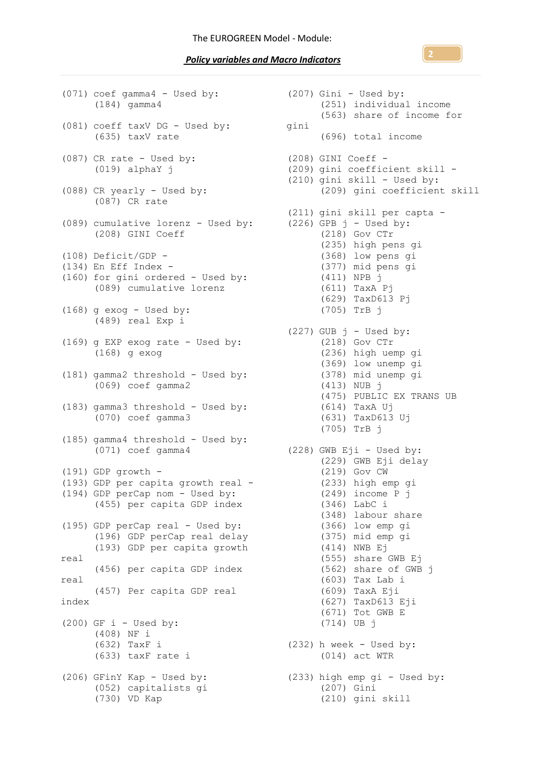(071) coef gamma4 - Used by: (207) Gini - Used by: (184) gamma4 (081) coeff taxV DG - Used by: gini (635) taxV rate (087) CR rate - Used by: (019) alphaY j (088) CR yearly - Used by: (087) CR rate (089) cumulative lorenz - Used by: (226) GPB j - Used by: (208) GINI Coeff (108) Deficit/GDP - (134) En Eff Index  $-$ (160) for gini ordered - Used by: (089) cumulative lorenz  $(168)$  g exog - Used by: (489) real Exp i (169) g EXP exog rate - Used by: (168) g exog (181) gamma2 threshold - Used by: (069) coef gamma2 (183) gamma3 threshold - Used by: (070) coef gamma3 (185) gamma4 threshold - Used by: (071) coef gamma4  $(191)$  GDP growth -(193) GDP per capita growth real - (194) GDP perCap nom - Used by: (455) per capita GDP index (195) GDP perCap real - Used by: (196) GDP perCap real delay (193) GDP per capita growth real (456) per capita GDP index real (457) Per capita GDP real index  $(200)$  GF i - Used by: (408) NF i (632) TaxF i (633) taxF rate i (206) GFinY Kap - Used by: (052) capitalists gi (730) VD Kap

(251) individual income (563) share of income for (696) total income (208) GINI Coeff - (209) gini coefficient skill - (210) gini skill - Used by: (209) gini coefficient skill (211) gini skill per capta - (218) Gov CTr (235) high pens gi (368) low pens gi (377) mid pens gi (411) NPB j (611) TaxA Pj (629) TaxD613 Pj (705) TrB j  $(227)$  GUB  $j$  - Used by: (218) Gov CTr (236) high uemp gi (369) low unemp gi (378) mid unemp gi (413) NUB j (475) PUBLIC EX TRANS UB (614) TaxA Uj (631) TaxD613 Uj (705) TrB j (228) GWB Eji - Used by: (229) GWB Eji delay (219) Gov CW (233) high emp gi (249) income P j (346) LabC i (348) labour share (366) low emp gi (375) mid emp gi (414) NWB Ej (555) share GWB Ej (562) share of GWB j (603) Tax Lab i (609) TaxA Eji (627) TaxD613 Eji (671) Tot GWB E (714) UB j  $(232)$  h week - Used by: (014) act WTR (233) high emp gi - Used by: (207) Gini (210) gini skill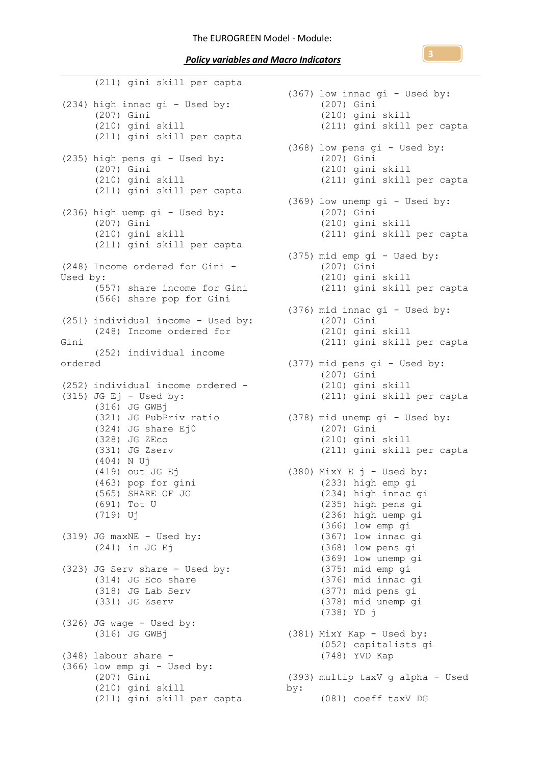(211) gini skill per capta (234) high innac gi - Used by: (207) Gini (210) gini skill (211) gini skill per capta (235) high pens gi - Used by: (207) Gini (210) gini skill (211) gini skill per capta (236) high uemp gi - Used by: (207) Gini (210) gini skill (211) gini skill per capta (248) Income ordered for Gini - Used by: (557) share income for Gini (566) share pop for Gini (251) individual income - Used by: (248) Income ordered for Gini (252) individual income ordered (252) individual income ordered - (315) JG Ej - Used by: (316) JG GWBj (321) JG PubPriv ratio (324) JG share Ej0 (328) JG ZEco (331) JG Zserv (404) N Uj (419) out JG Ej (463) pop for gini (565) SHARE OF JG (691) Tot U (719) Uj (319) JG maxNE - Used by: (241) in JG Ej (323) JG Serv share - Used by: (314) JG Eco share (318) JG Lab Serv (331) JG Zserv  $(326)$  JG wage - Used by: (316) JG GWBj (348) labour share - (366) low emp gi - Used by: (207) Gini (210) gini skill (211) gini skill per capta

(367) low innac gi - Used by: (207) Gini (210) gini skill (211) gini skill per capta (368) low pens gi - Used by: (207) Gini (210) gini skill (211) gini skill per capta (369) low unemp gi - Used by: (207) Gini (210) gini skill (211) gini skill per capta (375) mid emp gi - Used by: (207) Gini (210) gini skill (211) gini skill per capta (376) mid innac gi - Used by: (207) Gini (210) gini skill (211) gini skill per capta (377) mid pens gi - Used by: (207) Gini (210) gini skill (211) gini skill per capta (378) mid unemp gi - Used by: (207) Gini (210) gini skill (211) gini skill per capta (380) MixY E  $j$  - Used by: (233) high emp gi (234) high innac gi (235) high pens gi (236) high uemp gi (366) low emp gi (367) low innac gi (368) low pens gi (369) low unemp gi (375) mid emp gi (376) mid innac gi (377) mid pens gi (378) mid unemp gi (738) YD j (381) MixY Kap - Used by: (052) capitalists gi (748) YVD Kap (393) multip taxV g alpha - Used by: (081) coeff taxV DG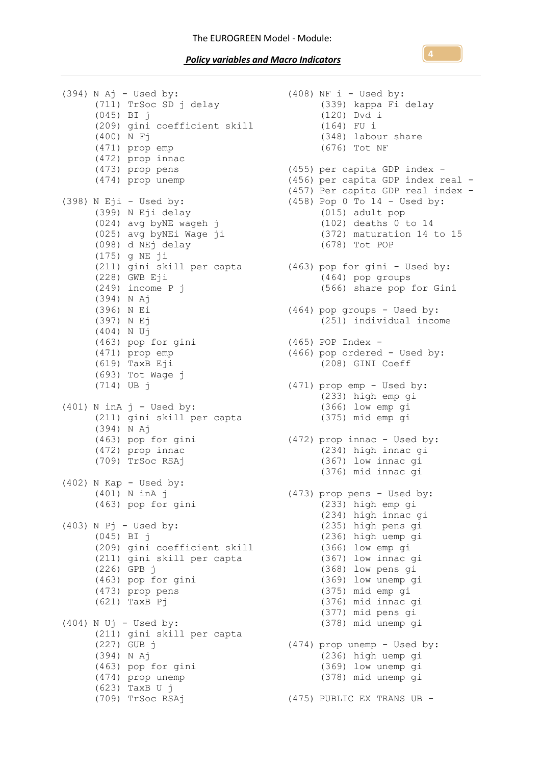(394) N Aj - Used by: (711) TrSoc SD j delay (045) BI j (209) gini coefficient skill  $(400)$  N F<sub>1</sub> (471) prop emp (472) prop innac (473) prop pens (474) prop unemp  $(398)$  N Eji - Used by: (399) N Eji delay (024) avg byNE wageh j (025) avg byNEi Wage ji (098) d NEj delay (175) g NE ji (211) gini skill per capta (463) pop for gini - Used by: (228) GWB Eji (249) income P j (394) N Aj (396) N Ei (397) N Ej (404) N Uj (463) pop for gini (471) prop emp (619) TaxB Eji (693) Tot Wage j (714) UB j  $(401)$  N inA  $j$  - Used by: (211) gini skill per capta (394) N Aj (463) pop for gini (472) prop innac (709) TrSoc RSAj  $(402)$  N Kap - Used by: (401) N inA j (463) pop for gini  $(403)$  N Pj - Used by: (045) BI j (209) gini coefficient skill (211) gini skill per capta (226) GPB j (463) pop for gini (473) prop pens (621) TaxB Pj  $(404)$  N Uj - Used by: (211) gini skill per capta (227) GUB j (394) N Aj (463) pop for gini (474) prop unemp  $(623)$  TaxB U j (709) TrSoc RSAj (475) PUBLIC EX TRANS UB -

(408) NF i - Used by: (339) kappa Fi delay (120) Dvd i (164) FU i (348) labour share (676) Tot NF (455) per capita GDP index - (456) per capita GDP index real - (457) Per capita GDP real index - (458) Pop 0 To 14 - Used by: (015) adult pop (102) deaths 0 to 14 (372) maturation 14 to 15 (678) Tot POP (464) pop groups (566) share pop for Gini (464) pop groups - Used by: (251) individual income (465) POP Index - (466) pop ordered - Used by: (208) GINI Coeff (471) prop emp - Used by: (233) high emp gi (366) low emp gi (375) mid emp gi (472) prop innac - Used by: (234) high innac gi (367) low innac gi (376) mid innac gi (473) prop pens - Used by: (233) high emp gi (234) high innac gi (235) high pens gi (236) high uemp gi (366) low emp gi (367) low innac gi (368) low pens gi (369) low unemp gi (375) mid emp gi (376) mid innac gi (377) mid pens gi (378) mid unemp gi (474) prop unemp - Used by: (236) high uemp gi (369) low unemp gi (378) mid unemp gi

**4**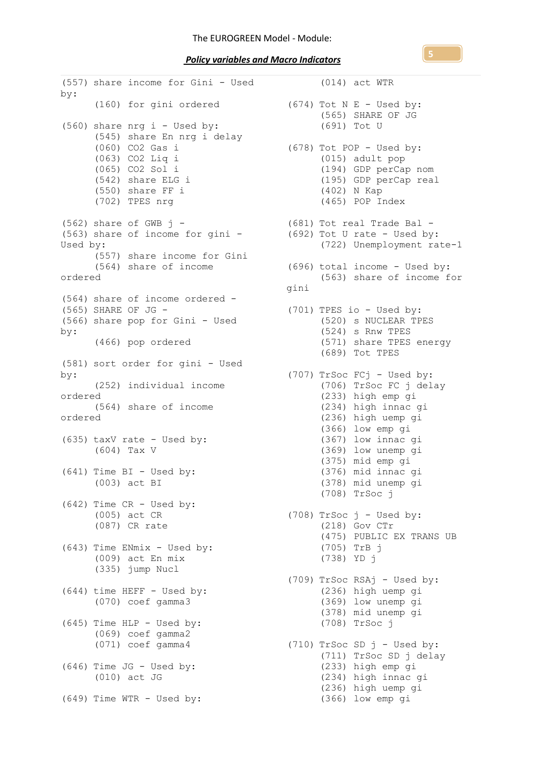(557) share income for Gini - Used by: (160) for gini ordered (674) Tot N E - Used by: (560) share nrg i - Used by: (545) share En nrg i delay (060) CO2 Gas i (063) CO2 Liq i (065) CO2 Sol i (542) share ELG i (550) share FF i (702) TPES nrg (562) share of GWB  $j -$ (563) share of income for gini - (692) Tot U rate - Used by: Used by: (557) share income for Gini (564) share of income ordered (564) share of income ordered - (565) SHARE OF JG - (566) share pop for Gini - Used by: (466) pop ordered (581) sort order for gini - Used by: (252) individual income ordered (564) share of income ordered (635) taxV rate - Used by: (604) Tax V (641) Time BI - Used by: (003) act BI (642) Time CR - Used by: (005) act CR (087) CR rate (643) Time  $EMmix - Used$  by: (009) act En mix (335) jump Nucl (644) time HEFF - Used by: (070) coef gamma3  $(645)$  Time HLP - Used by: (069) coef gamma2 (071) coef gamma4 (646) Time JG - Used by: (010) act JG (649) Time WTR - Used by:

(014) act WTR (565) SHARE OF JG (691) Tot U (678) Tot POP - Used by: (015) adult pop (194) GDP perCap nom (195) GDP perCap real (402) N Kap (465) POP Index (681) Tot real Trade Bal - (722) Unemployment rate-1 (696) total income - Used by: (563) share of income for gini (701) TPES io - Used by: (520) s NUCLEAR TPES (524) s Rnw TPES (571) share TPES energy (689) Tot TPES (707) TrSoc FCj - Used by: (706) TrSoc FC j delay (233) high emp gi (234) high innac gi (236) high uemp gi (366) low emp gi (367) low innac gi (369) low unemp gi (375) mid emp gi (376) mid innac gi (378) mid unemp gi (708) TrSoc j (708) TrSoc j - Used by: (218) Gov CTr (475) PUBLIC EX TRANS UB (705) TrB j (738) YD j (709) TrSoc RSAj - Used by: (236) high uemp gi (369) low unemp gi (378) mid unemp gi (708) TrSoc j (710) TrSoc SD j - Used by: (711) TrSoc SD j delay (233) high emp gi (234) high innac gi (236) high uemp gi (366) low emp gi